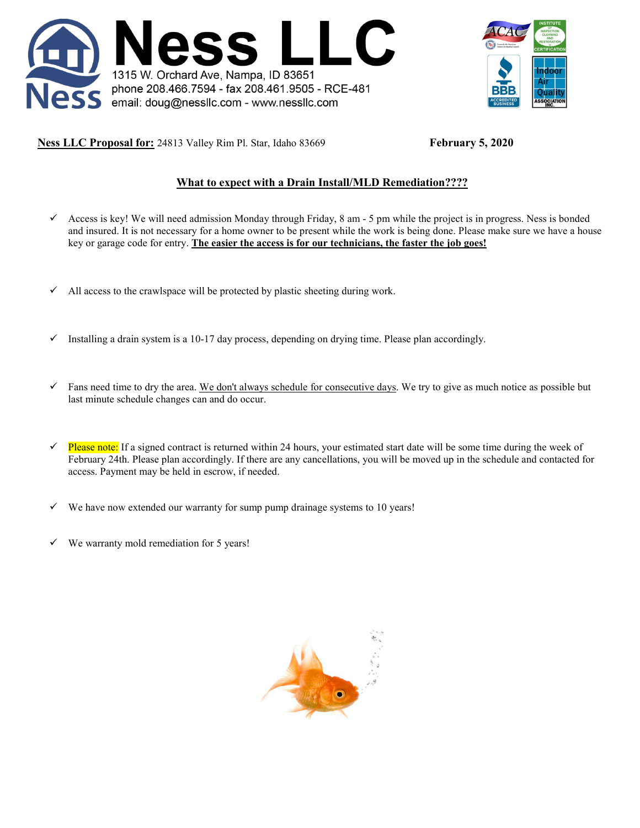



**Ness LLC Proposal for:** 24813 Valley Rim Pl. Star, Idaho 83669 **February 5, 2020** 

# **What to expect with a Drain Install/MLD Remediation????**

- $\checkmark$  Access is key! We will need admission Monday through Friday, 8 am 5 pm while the project is in progress. Ness is bonded and insured. It is not necessary for a home owner to be present while the work is being done. Please make sure we have a house key or garage code for entry. **The easier the access is for our technicians, the faster the job goes!**
- $\checkmark$  All access to the crawlspace will be protected by plastic sheeting during work.
- $\checkmark$  Installing a drain system is a 10-17 day process, depending on drying time. Please plan accordingly.
- $\checkmark$  Fans need time to dry the area. We don't always schedule for consecutive days. We try to give as much notice as possible but last minute schedule changes can and do occur.
- Please note: If a signed contract is returned within 24 hours, your estimated start date will be some time during the week of February 24th. Please plan accordingly. If there are any cancellations, you will be moved up in the schedule and contacted for access. Payment may be held in escrow, if needed.
- We have now extended our warranty for sump pump drainage systems to 10 years!
- We warranty mold remediation for 5 years!

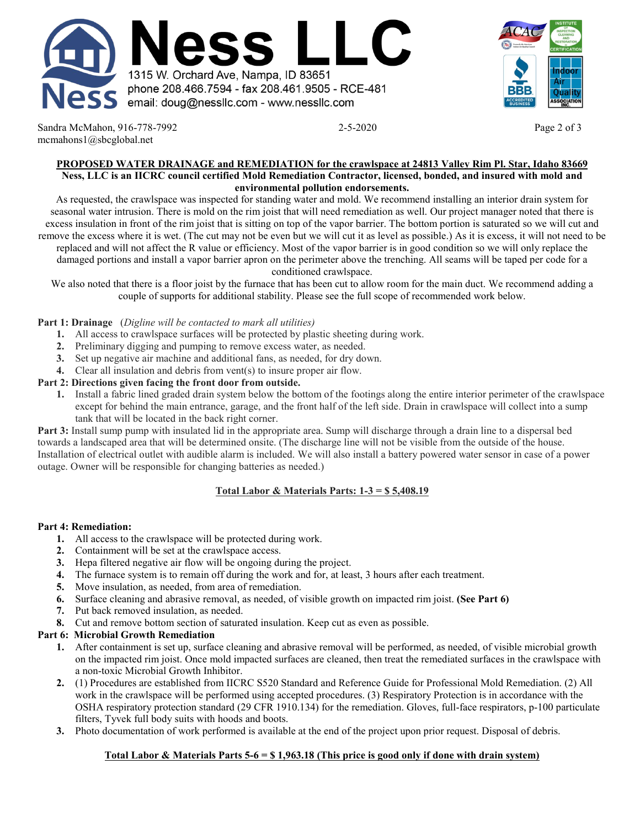



Sandra McMahon, 916-778-7992 2-5-2020 2-5-2020 2-5-2020 mcmahons1@sbcglobal.net

#### **PROPOSED WATER DRAINAGE and REMEDIATION for the crawlspace at 24813 Valley Rim Pl. Star, Idaho 83669 Ness, LLC is an IICRC council certified Mold Remediation Contractor, licensed, bonded, and insured with mold and environmental pollution endorsements.**

As requested, the crawlspace was inspected for standing water and mold. We recommend installing an interior drain system for seasonal water intrusion. There is mold on the rim joist that will need remediation as well. Our project manager noted that there is excess insulation in front of the rim joist that is sitting on top of the vapor barrier. The bottom portion is saturated so we will cut and remove the excess where it is wet. (The cut may not be even but we will cut it as level as possible.) As it is excess, it will not need to be replaced and will not affect the R value or efficiency. Most of the vapor barrier is in good condition so we will only replace the damaged portions and install a vapor barrier apron on the perimeter above the trenching. All seams will be taped per code for a conditioned crawlspace.

We also noted that there is a floor joist by the furnace that has been cut to allow room for the main duct. We recommend adding a couple of supports for additional stability. Please see the full scope of recommended work below.

### **Part 1: Drainage** (*Digline will be contacted to mark all utilities)*

- **1.** All access to crawlspace surfaces will be protected by plastic sheeting during work.
- **2.** Preliminary digging and pumping to remove excess water, as needed.
- **3.** Set up negative air machine and additional fans, as needed, for dry down.
- **4.** Clear all insulation and debris from vent(s) to insure proper air flow.

### **Part 2: Directions given facing the front door from outside.**

**1.** Install a fabric lined graded drain system below the bottom of the footings along the entire interior perimeter of the crawlspace except for behind the main entrance, garage, and the front half of the left side. Drain in crawlspace will collect into a sump tank that will be located in the back right corner.

**Part 3:** Install sump pump with insulated lid in the appropriate area. Sump will discharge through a drain line to a dispersal bed towards a landscaped area that will be determined onsite. (The discharge line will not be visible from the outside of the house. Installation of electrical outlet with audible alarm is included. We will also install a battery powered water sensor in case of a power outage. Owner will be responsible for changing batteries as needed.)

## **Total Labor & Materials Parts: 1-3 = \$ 5,408.19**

### **Part 4: Remediation:**

- **1.** All access to the crawlspace will be protected during work.
- **2.** Containment will be set at the crawlspace access.
- **3.** Hepa filtered negative air flow will be ongoing during the project.
- **4.** The furnace system is to remain off during the work and for, at least, 3 hours after each treatment.
- **5.** Move insulation, as needed, from area of remediation.
- **6.** Surface cleaning and abrasive removal, as needed, of visible growth on impacted rim joist. **(See Part 6)**
- **7.** Put back removed insulation, as needed.
- **8.** Cut and remove bottom section of saturated insulation. Keep cut as even as possible.

### **Part 6: Microbial Growth Remediation**

- **1.** After containment is set up, surface cleaning and abrasive removal will be performed, as needed, of visible microbial growth on the impacted rim joist. Once mold impacted surfaces are cleaned, then treat the remediated surfaces in the crawlspace with a non-toxic Microbial Growth Inhibitor.
- **2.** (1) Procedures are established from IICRC S520 Standard and Reference Guide for Professional Mold Remediation. (2) All work in the crawlspace will be performed using accepted procedures. (3) Respiratory Protection is in accordance with the OSHA respiratory protection standard (29 CFR 1910.134) for the remediation. Gloves, full-face respirators, p-100 particulate filters, Tyvek full body suits with hoods and boots.
- **3.** Photo documentation of work performed is available at the end of the project upon prior request. Disposal of debris.

### **Total Labor & Materials Parts 5-6 = \$ 1,963.18 (This price is good only if done with drain system)**